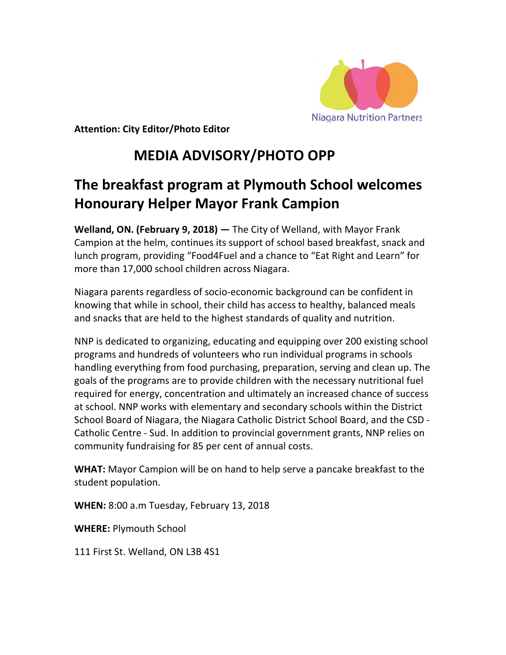

**Attention: City Editor/Photo Editor** 

## **MEDIA ADVISORY/PHOTO OPP**

## **The breakfast program at Plymouth School welcomes Honourary Helper Mayor Frank Campion**

**Welland, ON. (February 9, 2018) —** The City of Welland, with Mayor Frank Campion at the helm, continues its support of school based breakfast, snack and lunch program, providing "Food4Fuel and a chance to "Eat Right and Learn" for more than 17,000 school children across Niagara.

Niagara parents regardless of socio-economic background can be confident in knowing that while in school, their child has access to healthy, balanced meals and snacks that are held to the highest standards of quality and nutrition.

NNP is dedicated to organizing, educating and equipping over 200 existing school programs and hundreds of volunteers who run individual programs in schools handling everything from food purchasing, preparation, serving and clean up. The goals of the programs are to provide children with the necessary nutritional fuel required for energy, concentration and ultimately an increased chance of success at school. NNP works with elementary and secondary schools within the District School Board of Niagara, the Niagara Catholic District School Board, and the CSD - Catholic Centre - Sud. In addition to provincial government grants, NNP relies on community fundraising for 85 per cent of annual costs.

**WHAT:** Mayor Campion will be on hand to help serve a pancake breakfast to the student population.

**WHEN:** 8:00 a.m Tuesday, February 13, 2018

**WHERE:** Plymouth School

111 First St. Welland, ON L3B 4S1